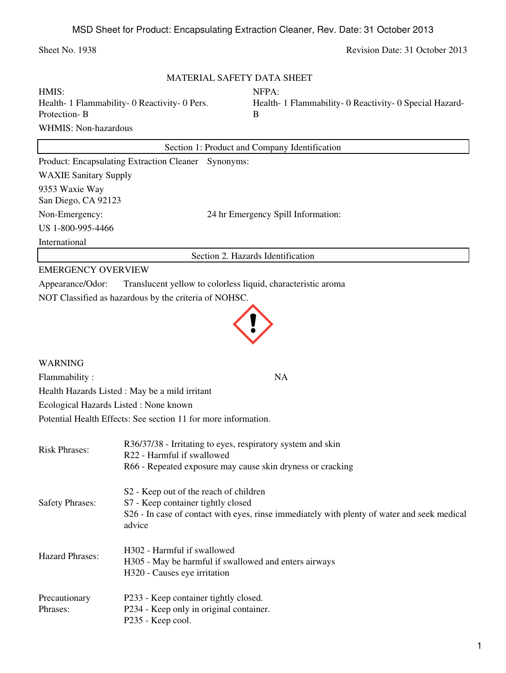## Sheet No. 1938 Revision Date: 31 October 2013

| MATERIAL SAFETY DATA SHEET |  |  |  |
|----------------------------|--|--|--|
|----------------------------|--|--|--|

| HMIS:                                         | NFPA:                                                   |
|-----------------------------------------------|---------------------------------------------------------|
| Health- 1 Flammability- 0 Reactivity- 0 Pers. | Health- 1 Flammability- 0 Reactivity- 0 Special Hazard- |
| Protection-B                                  |                                                         |
| WHMIS: Non-hazardous                          |                                                         |

|                                                     | Section 1: Product and Company Identification |
|-----------------------------------------------------|-----------------------------------------------|
| Product: Encapsulating Extraction Cleaner Synonyms: |                                               |
| <b>WAXIE Sanitary Supply</b>                        |                                               |
| 9353 Waxie Way<br>San Diego, CA 92123               |                                               |
| Non-Emergency:                                      | 24 hr Emergency Spill Information:            |
| US 1-800-995-4466                                   |                                               |
| International                                       |                                               |
|                                                     | Section 2. Hazards Identification             |

## EMERGENCY OVERVIEW

Appearance/Odor: Translucent yellow to colorless liquid, characteristic aroma

NOT Classified as hazardous by the criteria of NOHSC.



## WARNING

Flammability : NA Health Hazards Listed : May be a mild irritant

Ecological Hazards Listed : None known

Potential Health Effects: See section 11 for more information.

| <b>Risk Phrases:</b>   | R36/37/38 - Irritating to eyes, respiratory system and skin<br>R22 - Harmful if swallowed             |
|------------------------|-------------------------------------------------------------------------------------------------------|
|                        | R66 - Repeated exposure may cause skin dryness or cracking                                            |
|                        | S <sub>2</sub> - Keep out of the reach of children                                                    |
| <b>Safety Phrases:</b> | S7 - Keep container tightly closed                                                                    |
|                        | S26 - In case of contact with eyes, rinse immediately with plenty of water and seek medical<br>advice |
|                        | H302 - Harmful if swallowed                                                                           |
| <b>Hazard Phrases:</b> | H305 - May be harmful if swallowed and enters airways                                                 |
|                        | H320 - Causes eye irritation                                                                          |
| Precautionary          | P233 - Keep container tightly closed.                                                                 |
| Phrases:               | P234 - Keep only in original container.                                                               |
|                        | P235 - Keep cool.                                                                                     |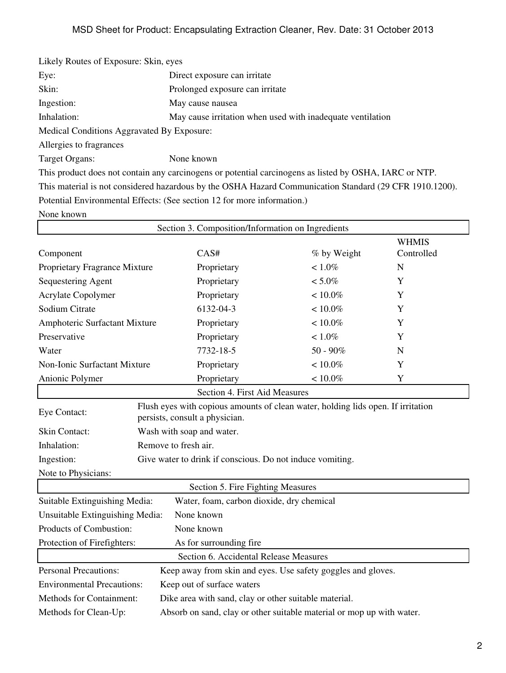| Likely Routes of Exposure: Skin, eyes                      |
|------------------------------------------------------------|
| Direct exposure can irritate                               |
| Prolonged exposure can irritate                            |
| May cause nausea                                           |
| May cause irritation when used with inadequate ventilation |
| Medical Conditions Aggravated By Exposure:                 |
|                                                            |
| None known                                                 |
|                                                            |

This product does not contain any carcinogens or potential carcinogens as listed by OSHA, IARC or NTP. This material is not considered hazardous by the OSHA Hazard Communication Standard (29 CFR 1910.1200). Potential Environmental Effects: (See section 12 for more information.)

None known

| Section 3. Composition/Information on Ingredients                                              |                                                                                                                    |                               |             |              |
|------------------------------------------------------------------------------------------------|--------------------------------------------------------------------------------------------------------------------|-------------------------------|-------------|--------------|
|                                                                                                |                                                                                                                    |                               |             | <b>WHMIS</b> |
| Component                                                                                      |                                                                                                                    | CAS#                          | % by Weight | Controlled   |
| Proprietary Fragrance Mixture                                                                  |                                                                                                                    | Proprietary                   | $< 1.0\%$   | $\mathbf N$  |
| Sequestering Agent                                                                             |                                                                                                                    | Proprietary                   | $< 5.0\%$   | Y            |
| Acrylate Copolymer                                                                             |                                                                                                                    | Proprietary                   | $< 10.0\%$  | Y            |
| Sodium Citrate                                                                                 |                                                                                                                    | 6132-04-3                     | $< 10.0\%$  | Y            |
| Amphoteric Surfactant Mixture                                                                  |                                                                                                                    | Proprietary                   | $< 10.0\%$  | Y            |
| Preservative                                                                                   |                                                                                                                    | Proprietary                   | $< 1.0\%$   | Y            |
| Water                                                                                          |                                                                                                                    | 7732-18-5                     | $50 - 90\%$ | N            |
| Non-Ionic Surfactant Mixture                                                                   |                                                                                                                    | Proprietary                   | $< 10.0\%$  | Y            |
| Anionic Polymer                                                                                |                                                                                                                    | Proprietary                   | $< 10.0\%$  | Y            |
|                                                                                                |                                                                                                                    | Section 4. First Aid Measures |             |              |
| Eye Contact:                                                                                   | Flush eyes with copious amounts of clean water, holding lids open. If irritation<br>persists, consult a physician. |                               |             |              |
| Skin Contact:                                                                                  | Wash with soap and water.                                                                                          |                               |             |              |
| Inhalation:                                                                                    | Remove to fresh air.                                                                                               |                               |             |              |
| Ingestion:                                                                                     | Give water to drink if conscious. Do not induce vomiting.                                                          |                               |             |              |
| Note to Physicians:                                                                            |                                                                                                                    |                               |             |              |
| Section 5. Fire Fighting Measures                                                              |                                                                                                                    |                               |             |              |
| Suitable Extinguishing Media:<br>Water, foam, carbon dioxide, dry chemical                     |                                                                                                                    |                               |             |              |
| Unsuitable Extinguishing Media:<br>None known                                                  |                                                                                                                    |                               |             |              |
| Products of Combustion:                                                                        |                                                                                                                    | None known                    |             |              |
| Protection of Firefighters:<br>As for surrounding fire                                         |                                                                                                                    |                               |             |              |
| Section 6. Accidental Release Measures                                                         |                                                                                                                    |                               |             |              |
| <b>Personal Precautions:</b><br>Keep away from skin and eyes. Use safety goggles and gloves.   |                                                                                                                    |                               |             |              |
| <b>Environmental Precautions:</b><br>Keep out of surface waters                                |                                                                                                                    |                               |             |              |
| Methods for Containment:<br>Dike area with sand, clay or other suitable material.              |                                                                                                                    |                               |             |              |
| Absorb on sand, clay or other suitable material or mop up with water.<br>Methods for Clean-Up: |                                                                                                                    |                               |             |              |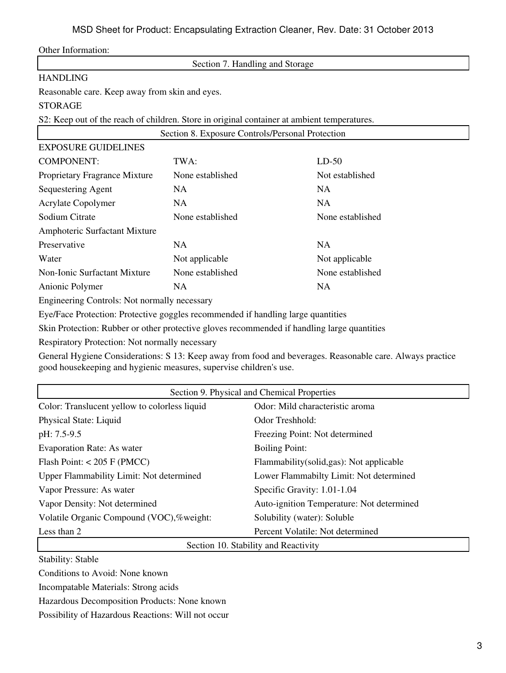Other Information:

Section 7. Handling and Storage

# HANDLING

Reasonable care. Keep away from skin and eyes.

# STORAGE

S2: Keep out of the reach of children. Store in original container at ambient temperatures.

|                                              | Section 8. Exposure Controls/Personal Protection |                  |
|----------------------------------------------|--------------------------------------------------|------------------|
| <b>EXPOSURE GUIDELINES</b>                   |                                                  |                  |
| <b>COMPONENT:</b>                            | TWA:                                             | $LD-50$          |
| Proprietary Fragrance Mixture                | None established                                 | Not established  |
| Sequestering Agent                           | NA.                                              | NA.              |
| <b>Acrylate Copolymer</b>                    | NA.                                              | <b>NA</b>        |
| Sodium Citrate                               | None established                                 | None established |
| Amphoteric Surfactant Mixture                |                                                  |                  |
| Preservative                                 | NA                                               | <b>NA</b>        |
| Water                                        | Not applicable                                   | Not applicable   |
| Non-Ionic Surfactant Mixture                 | None established                                 | None established |
| Anionic Polymer                              | NA                                               | NA.              |
| Engineering Controls: Not normally necessary |                                                  |                  |

Eye/Face Protection: Protective goggles recommended if handling large quantities

Skin Protection: Rubber or other protective gloves recommended if handling large quantities

Respiratory Protection: Not normally necessary

General Hygiene Considerations: S 13: Keep away from food and beverages. Reasonable care. Always practice good housekeeping and hygienic measures, supervise children's use.

| Section 9. Physical and Chemical Properties   |                                           |  |  |
|-----------------------------------------------|-------------------------------------------|--|--|
| Color: Translucent yellow to colorless liquid | Odor: Mild characteristic aroma           |  |  |
| Physical State: Liquid                        | Odor Treshhold:                           |  |  |
| pH: 7.5-9.5                                   | Freezing Point: Not determined            |  |  |
| <b>Evaporation Rate: As water</b>             | <b>Boiling Point:</b>                     |  |  |
| Flash Point: $< 205$ F (PMCC)                 | Flammability(solid,gas): Not applicable   |  |  |
| Upper Flammability Limit: Not determined      | Lower Flammabilty Limit: Not determined   |  |  |
| Vapor Pressure: As water                      | Specific Gravity: 1.01-1.04               |  |  |
| Vapor Density: Not determined                 | Auto-ignition Temperature: Not determined |  |  |
| Volatile Organic Compound (VOC),%weight:      | Solubility (water): Soluble               |  |  |
| Less than 2                                   | Percent Volatile: Not determined          |  |  |
| Section 10. Stability and Reactivity          |                                           |  |  |

Stability: Stable

Conditions to Avoid: None known

Incompatable Materials: Strong acids

Hazardous Decomposition Products: None known

Possibility of Hazardous Reactions: Will not occur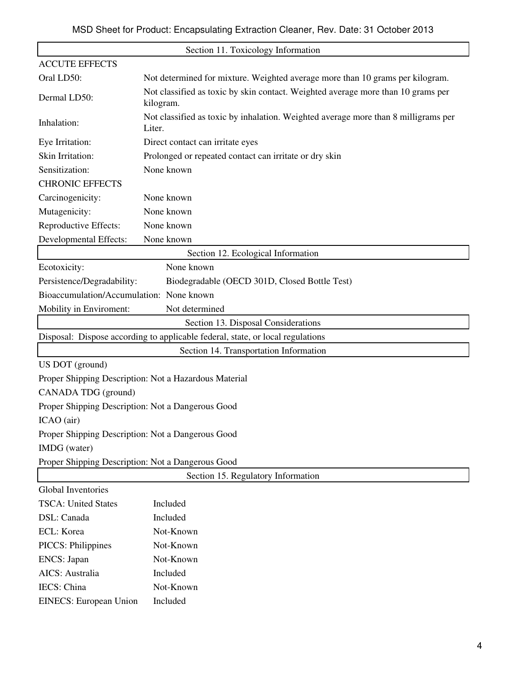| Section 11. Toxicology Information                |                                                                                               |  |  |
|---------------------------------------------------|-----------------------------------------------------------------------------------------------|--|--|
| <b>ACCUTE EFFECTS</b>                             |                                                                                               |  |  |
| Oral LD50:                                        | Not determined for mixture. Weighted average more than 10 grams per kilogram.                 |  |  |
| Dermal LD50:                                      | Not classified as toxic by skin contact. Weighted average more than 10 grams per<br>kilogram. |  |  |
| Inhalation:                                       | Not classified as toxic by inhalation. Weighted average more than 8 milligrams per<br>Liter.  |  |  |
| Eye Irritation:                                   | Direct contact can irritate eyes                                                              |  |  |
| Skin Irritation:                                  | Prolonged or repeated contact can irritate or dry skin                                        |  |  |
| Sensitization:                                    | None known                                                                                    |  |  |
| <b>CHRONIC EFFECTS</b>                            |                                                                                               |  |  |
| Carcinogenicity:                                  | None known                                                                                    |  |  |
| Mutagenicity:                                     | None known                                                                                    |  |  |
| Reproductive Effects:                             | None known                                                                                    |  |  |
| Developmental Effects:                            | None known                                                                                    |  |  |
|                                                   | Section 12. Ecological Information                                                            |  |  |
| Ecotoxicity:                                      | None known                                                                                    |  |  |
| Persistence/Degradability:                        | Biodegradable (OECD 301D, Closed Bottle Test)                                                 |  |  |
| Bioaccumulation/Accumulation: None known          |                                                                                               |  |  |
| Mobility in Enviroment:                           | Not determined                                                                                |  |  |
|                                                   | Section 13. Disposal Considerations                                                           |  |  |
|                                                   | Disposal: Dispose according to applicable federal, state, or local regulations                |  |  |
|                                                   | Section 14. Transportation Information                                                        |  |  |
| US DOT (ground)                                   |                                                                                               |  |  |
|                                                   | Proper Shipping Description: Not a Hazardous Material                                         |  |  |
| CANADA TDG (ground)                               |                                                                                               |  |  |
| Proper Shipping Description: Not a Dangerous Good |                                                                                               |  |  |
| ICAO (air)                                        |                                                                                               |  |  |
| Proper Shipping Description: Not a Dangerous Good |                                                                                               |  |  |
| IMDG (water)                                      |                                                                                               |  |  |
| Proper Shipping Description: Not a Dangerous Good |                                                                                               |  |  |
|                                                   | Section 15. Regulatory Information                                                            |  |  |
| <b>Global Inventories</b>                         |                                                                                               |  |  |
| <b>TSCA: United States</b>                        | Included                                                                                      |  |  |
| DSL: Canada                                       | Included                                                                                      |  |  |
| ECL: Korea                                        | Not-Known                                                                                     |  |  |
| PICCS: Philippines                                | Not-Known                                                                                     |  |  |
| ENCS: Japan                                       | Not-Known                                                                                     |  |  |
| AICS: Australia                                   | Included                                                                                      |  |  |
| IECS: China                                       | Not-Known                                                                                     |  |  |
| <b>EINECS: European Union</b>                     | Included                                                                                      |  |  |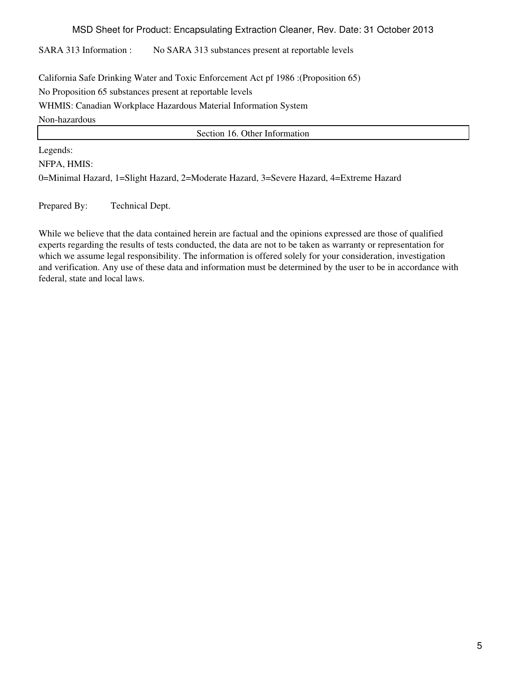MSD Sheet for Product: Encapsulating Extraction Cleaner, Rev. Date: 31 October 2013

SARA 313 Information : No SARA 313 substances present at reportable levels

California Safe Drinking Water and Toxic Enforcement Act pf 1986 :(Proposition 65) No Proposition 65 substances present at reportable levels WHMIS: Canadian Workplace Hazardous Material Information System Non-hazardous

Section 16. Other Information

Legends:

NFPA, HMIS:

0=Minimal Hazard, 1=Slight Hazard, 2=Moderate Hazard, 3=Severe Hazard, 4=Extreme Hazard

Prepared By: Technical Dept.

While we believe that the data contained herein are factual and the opinions expressed are those of qualified experts regarding the results of tests conducted, the data are not to be taken as warranty or representation for which we assume legal responsibility. The information is offered solely for your consideration, investigation and verification. Any use of these data and information must be determined by the user to be in accordance with federal, state and local laws.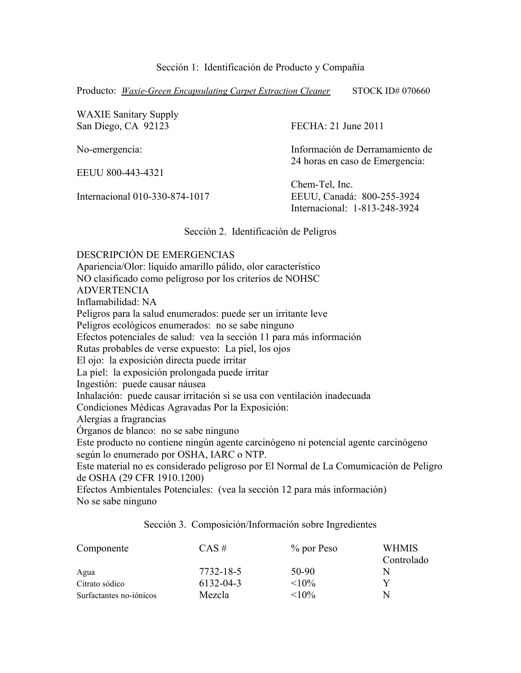Sección 1: Identificación de Producto y Compañía

Producto: *Waxie-Green Encapsulating Carpet Extraction Cleaner* STOCK ID# 070660

| <b>WAXIE Sanitary Supply</b><br>San Diego, CA 92123 | FECHA: 21 June 2011             |
|-----------------------------------------------------|---------------------------------|
| No-emergencia:                                      | Información de Derramamiento de |
| EEUU 800-443-4321                                   | 24 horas en caso de Emergencia: |
|                                                     | Chem-Tel, Inc.                  |
| Internacional 010-330-874-1017                      | EEUU, Canadá: 800-255-3924      |
|                                                     | Internacional: 1-813-248-3924   |

Sección 2. Identificación de Peligros

DESCRIPCIÓN DE EMERGENCIAS Apariencia/Olor: líquido amarillo pálido, olor característico NO clasificado como peligroso por los criterios de NOHSC ADVERTENCIA Inflamabilidad: NA Peligros para la salud enumerados: puede ser un irritante leve Peligros ecológicos enumerados: no se sabe ninguno Efectos potenciales de salud: vea la sección 11 para más información Rutas probables de verse expuesto: La piel, los ojos El ojo: la exposición directa puede irritar La piel: la exposición prolongada puede irritar Ingestión: puede causar náusea Inhalación: puede causar irritación si se usa con ventilación inadecuada Condiciones Médicas Agravadas Por la Exposición: Alergias a fragrancias Órganos de blanco: no se sabe ninguno Este producto no contiene ningún agente carcinógeno ni potencial agente carcinógeno según lo enumerado por OSHA, IARC o NTP. Este material no es considerado peligroso por El Normal de La Comumicación de Peligro de OSHA (29 CFR 1910.1200)

Efectos Ambientales Potenciales: (vea la sección 12 para más información) No se sabe ninguno

Sección 3. Composición/Información sobre Ingredientes

| Componente              | $CAS \#$  | $\%$ por Peso | <b>WHMIS</b><br>Controlado |
|-------------------------|-----------|---------------|----------------------------|
| Agua                    | 7732-18-5 | 50-90         | N                          |
| Citrato sódico          | 6132-04-3 | ${<}10\%$     |                            |
| Surfactantes no-iónicos | Mezcla    | ${<}10\%$     | N                          |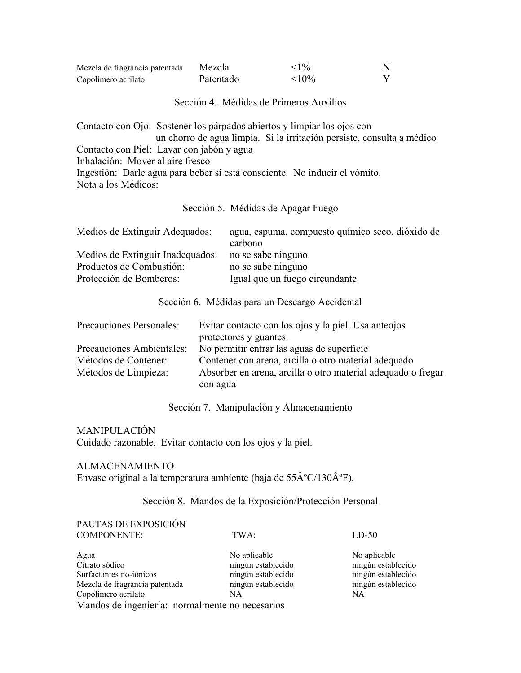| Mezcla de fragrancia patentada | Mezcla    | $< 1\%$     |  |
|--------------------------------|-----------|-------------|--|
| Copolímero acrilato            | Patentado | $\leq 10\%$ |  |

### Sección 4. Médidas de Primeros Auxilios

Contacto con Ojo: Sostener los párpados abiertos y limpiar los ojos con un chorro de agua limpia. Si la irritación persiste, consulta a médico Contacto con Piel: Lavar con jabón y agua Inhalación: Mover al aire fresco Ingestión: Darle agua para beber si está consciente. No inducir el vómito. Nota a los Médicos:

Sección 5. Médidas de Apagar Fuego

| agua, espuma, compuesto químico seco, dióxido de |
|--------------------------------------------------|
| carbono                                          |
| no se sabe ninguno                               |
| no se sabe ninguno                               |
| Igual que un fuego circundante                   |
|                                                  |

#### Sección 6. Médidas para un Descargo Accidental

| Precauciones Personales:  | Evitar contacto con los ojos y la piel. Usa anteojos         |  |
|---------------------------|--------------------------------------------------------------|--|
|                           | protectores y guantes.                                       |  |
| Precauciones Ambientales: | No permitir entrar las aguas de superficie                   |  |
| Métodos de Contener:      | Contener con arena, arcilla o otro material adequado         |  |
| Métodos de Limpieza:      | Absorber en arena, arcilla o otro material adequado o fregar |  |
|                           | con agua                                                     |  |

Sección 7. Manipulación y Almacenamiento

# MANIPULACIÓN

Cuidado razonable. Evitar contacto con los ojos y la piel.

#### ALMACENAMIENTO

Envase original a la temperatura ambiente (baja de 55°C/130°F).

# Sección 8. Mandos de la Exposición/Protección Personal

#### PAUTAS DE EXPOSICIÓN COMPONENTE: TWA: LD-50

| Agua                                            | No aplicable       | No aplicable       |
|-------------------------------------------------|--------------------|--------------------|
| Citrato sódico                                  | ningún establecido | ningún establecido |
| Surfactantes no-iónicos                         | ningún establecido | ningún establecido |
| Mezcla de fragrancia patentada                  | ningún establecido | ningún establecido |
| Copolímero acrilato                             | NA                 | NA                 |
| Mandos de ingeniería: normalmente no necesarios |                    |                    |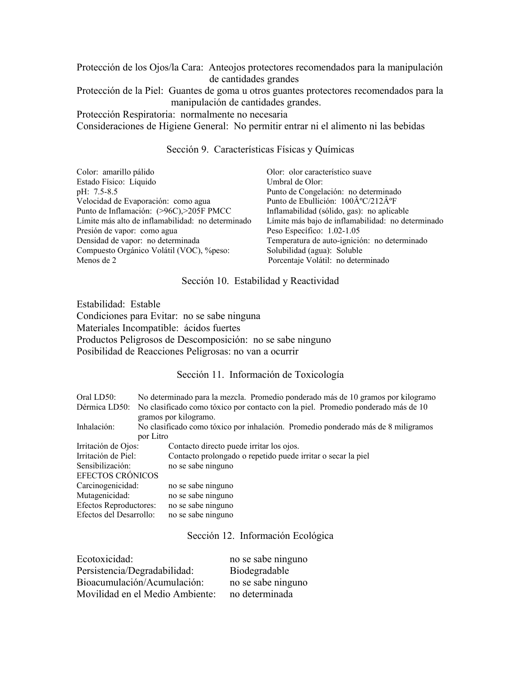Protección de los Ojos/la Cara: Anteojos protectores recomendados para la manipulación de cantidades grandes

Protección de la Piel: Guantes de goma u otros guantes protectores recomendados para la manipulación de cantidades grandes.

Protección Respiratoria: normalmente no necesaria

Consideraciones de Higiene General: No permitir entrar ni el alimento ni las bebidas

Sección 9. Características Físicas y Químicas

| Olor: olor característico suave                                |
|----------------------------------------------------------------|
| Umbral de Olor:                                                |
| Punto de Congelación: no determinado                           |
| Punto de Ebullición: $100\hat{A}^{\circ}C/212\hat{A}^{\circ}F$ |
| Inflamabilidad (sólido, gas): no aplicable                     |
| Límite más bajo de inflamabilidad: no determinado              |
| Peso Específico: 1.02-1.05                                     |
| Temperatura de auto-ignición: no determinado                   |
| Solubilidad (agua): Soluble                                    |
| Porcentaje Volátil: no determinado                             |
|                                                                |

### Sección 10. Estabilidad y Reactividad

Estabilidad: Estable Condiciones para Evitar: no se sabe ninguna Materiales Incompatible: ácidos fuertes Productos Peligrosos de Descomposición: no se sabe ninguno Posibilidad de Reacciones Peligrosas: no van a ocurrir

# Sección 11. Información de Toxicología

| Oral LD50:              | No determinado para la mezcla. Promedio ponderado más de 10 gramos por kilogramo  |  |  |  |
|-------------------------|-----------------------------------------------------------------------------------|--|--|--|
| Dérmica LD50:           | No clasificado como tóxico por contacto con la piel. Promedio ponderado más de 10 |  |  |  |
|                         | gramos por kilogramo.                                                             |  |  |  |
| Inhalación:             | No clasificado como tóxico por inhalación. Promedio ponderado más de 8 miligramos |  |  |  |
|                         | por Litro                                                                         |  |  |  |
| Irritación de Ojos:     | Contacto directo puede irritar los ojos.                                          |  |  |  |
| Irritación de Piel:     | Contacto prolongado o repetido puede irritar o secar la piel                      |  |  |  |
| Sensibilización:        | no se sabe ninguno                                                                |  |  |  |
| <b>EFECTOS CRÓNICOS</b> |                                                                                   |  |  |  |
| Carcinogenicidad:       | no se sabe ninguno                                                                |  |  |  |
| Mutagenicidad:          | no se sabe ninguno                                                                |  |  |  |
| Efectos Reproductores:  | no se sabe ninguno                                                                |  |  |  |
| Efectos del Desarrollo: | no se sabe ninguno                                                                |  |  |  |

#### Sección 12. Información Ecológica

| Ecotoxicidad:                   | no se sabe ninguno |
|---------------------------------|--------------------|
| Persistencia/Degradabilidad:    | Biodegradable      |
| Bioacumulación/Acumulación:     | no se sabe ninguno |
| Movilidad en el Medio Ambiente: | no determinada     |